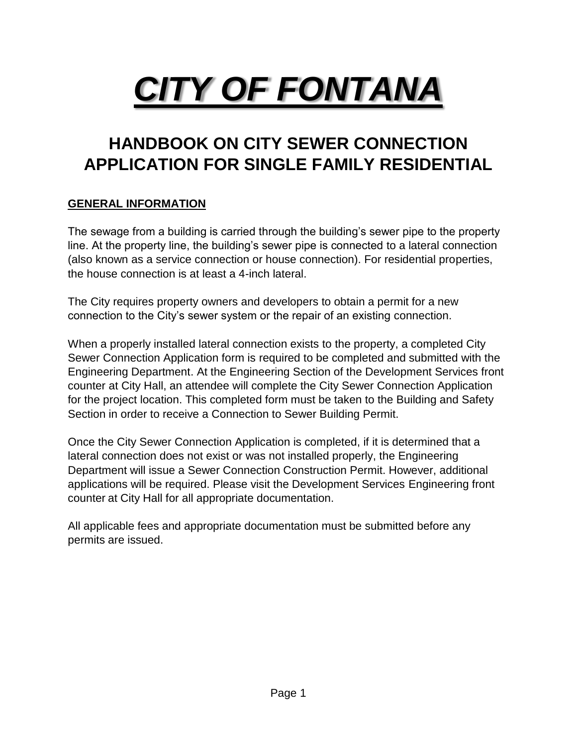# *CITY OF FONTANA*

## **HANDBOOK ON CITY SEWER CONNECTION APPLICATION FOR SINGLE FAMILY RESIDENTIAL**

#### **GENERAL INFORMATION**

The sewage from a building is carried through the building's sewer pipe to the property line. At the property line, the building's sewer pipe is connected to a lateral connection (also known as a service connection or house connection). For residential properties, the house connection is at least a 4-inch lateral.

The City requires property owners and developers to obtain a permit for a new connection to the City's sewer system or the repair of an existing connection.

When a properly installed lateral connection exists to the property, a completed City Sewer Connection Application form is required to be completed and submitted with the Engineering Department. At the Engineering Section of the Development Services front counter at City Hall, an attendee will complete the City Sewer Connection Application for the project location. This completed form must be taken to the Building and Safety Section in order to receive a Connection to Sewer Building Permit.

Once the City Sewer Connection Application is completed, if it is determined that a lateral connection does not exist or was not installed properly, the Engineering Department will issue a Sewer Connection Construction Permit. However, additional applications will be required. Please visit the Development Services Engineering front counter at City Hall for all appropriate documentation.

All applicable fees and appropriate documentation must be submitted before any permits are issued.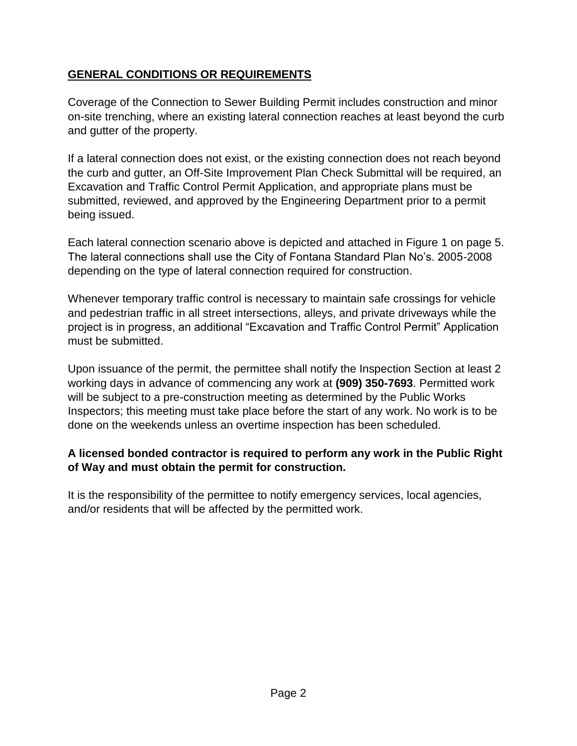#### **GENERAL CONDITIONS OR REQUIREMENTS**

Coverage of the Connection to Sewer Building Permit includes construction and minor on-site trenching, where an existing lateral connection reaches at least beyond the curb and gutter of the property.

If a lateral connection does not exist, or the existing connection does not reach beyond the curb and gutter, an Off-Site Improvement Plan Check Submittal will be required, an Excavation and Traffic Control Permit Application, and appropriate plans must be submitted, reviewed, and approved by the Engineering Department prior to a permit being issued.

Each lateral connection scenario above is depicted and attached in Figure 1 on page 5. The lateral connections shall use the City of Fontana Standard Plan No's. 2005-2008 depending on the type of lateral connection required for construction.

Whenever temporary traffic control is necessary to maintain safe crossings for vehicle and pedestrian traffic in all street intersections, alleys, and private driveways while the project is in progress, an additional "Excavation and Traffic Control Permit" Application must be submitted.

Upon issuance of the permit, the permittee shall notify the Inspection Section at least 2 working days in advance of commencing any work at **(909) 350-7693**. Permitted work will be subject to a pre-construction meeting as determined by the Public Works Inspectors; this meeting must take place before the start of any work. No work is to be done on the weekends unless an overtime inspection has been scheduled.

#### **A licensed bonded contractor is required to perform any work in the Public Right of Way and must obtain the permit for construction.**

It is the responsibility of the permittee to notify emergency services, local agencies, and/or residents that will be affected by the permitted work.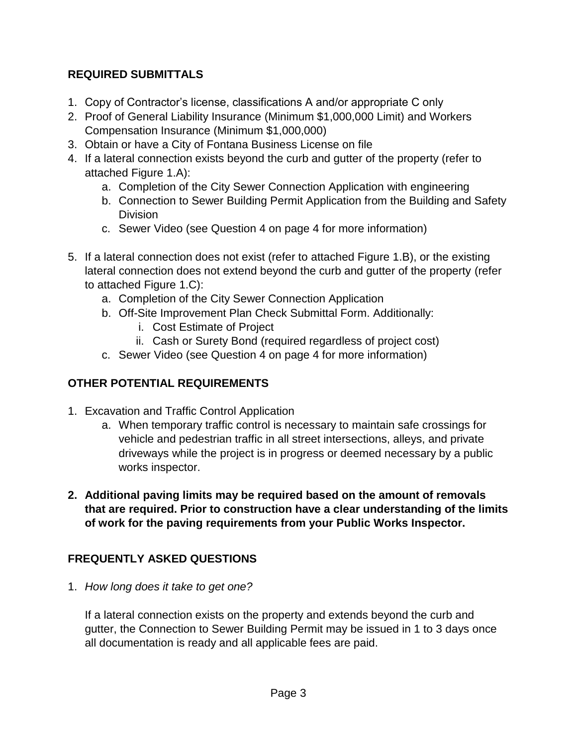#### **REQUIRED SUBMITTALS**

- 1. Copy of Contractor's license, classifications A and/or appropriate C only
- 2. Proof of General Liability Insurance (Minimum \$1,000,000 Limit) and Workers Compensation Insurance (Minimum \$1,000,000)
- 3. Obtain or have a City of Fontana Business License on file
- 4. If a lateral connection exists beyond the curb and gutter of the property (refer to attached Figure 1.A):
	- a. Completion of the City Sewer Connection Application with engineering
	- b. Connection to Sewer Building Permit Application from the Building and Safety Division
	- c. Sewer Video (see Question 4 on page 4 for more information)
- 5. If a lateral connection does not exist (refer to attached Figure 1.B), or the existing lateral connection does not extend beyond the curb and gutter of the property (refer to attached Figure 1.C):
	- a. Completion of the City Sewer Connection Application
	- b. Off-Site Improvement Plan Check Submittal Form. Additionally:
		- i. Cost Estimate of Project
		- ii. Cash or Surety Bond (required regardless of project cost)
	- c. Sewer Video (see Question 4 on page 4 for more information)

#### **OTHER POTENTIAL REQUIREMENTS**

- 1. Excavation and Traffic Control Application
	- a. When temporary traffic control is necessary to maintain safe crossings for vehicle and pedestrian traffic in all street intersections, alleys, and private driveways while the project is in progress or deemed necessary by a public works inspector.
- **2. Additional paving limits may be required based on the amount of removals that are required. Prior to construction have a clear understanding of the limits of work for the paving requirements from your Public Works Inspector.**

#### **FREQUENTLY ASKED QUESTIONS**

1. *How long does it take to get one?*

If a lateral connection exists on the property and extends beyond the curb and gutter, the Connection to Sewer Building Permit may be issued in 1 to 3 days once all documentation is ready and all applicable fees are paid.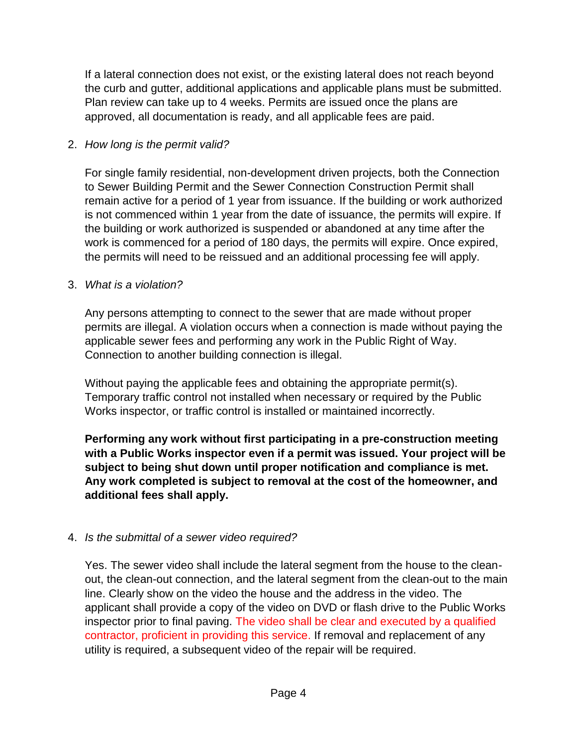If a lateral connection does not exist, or the existing lateral does not reach beyond the curb and gutter, additional applications and applicable plans must be submitted. Plan review can take up to 4 weeks. Permits are issued once the plans are approved, all documentation is ready, and all applicable fees are paid.

#### 2. *How long is the permit valid?*

For single family residential, non-development driven projects, both the Connection to Sewer Building Permit and the Sewer Connection Construction Permit shall remain active for a period of 1 year from issuance. If the building or work authorized is not commenced within 1 year from the date of issuance, the permits will expire. If the building or work authorized is suspended or abandoned at any time after the work is commenced for a period of 180 days, the permits will expire. Once expired, the permits will need to be reissued and an additional processing fee will apply.

#### 3. *What is a violation?*

Any persons attempting to connect to the sewer that are made without proper permits are illegal. A violation occurs when a connection is made without paying the applicable sewer fees and performing any work in the Public Right of Way. Connection to another building connection is illegal.

Without paying the applicable fees and obtaining the appropriate permit(s). Temporary traffic control not installed when necessary or required by the Public Works inspector, or traffic control is installed or maintained incorrectly.

**Performing any work without first participating in a pre-construction meeting with a Public Works inspector even if a permit was issued. Your project will be subject to being shut down until proper notification and compliance is met. Any work completed is subject to removal at the cost of the homeowner, and additional fees shall apply.**

#### 4. *Is the submittal of a sewer video required?*

Yes. The sewer video shall include the lateral segment from the house to the cleanout, the clean-out connection, and the lateral segment from the clean-out to the main line. Clearly show on the video the house and the address in the video. The applicant shall provide a copy of the video on DVD or flash drive to the Public Works inspector prior to final paving. The video shall be clear and executed by a qualified contractor, proficient in providing this service. If removal and replacement of any utility is required, a subsequent video of the repair will be required.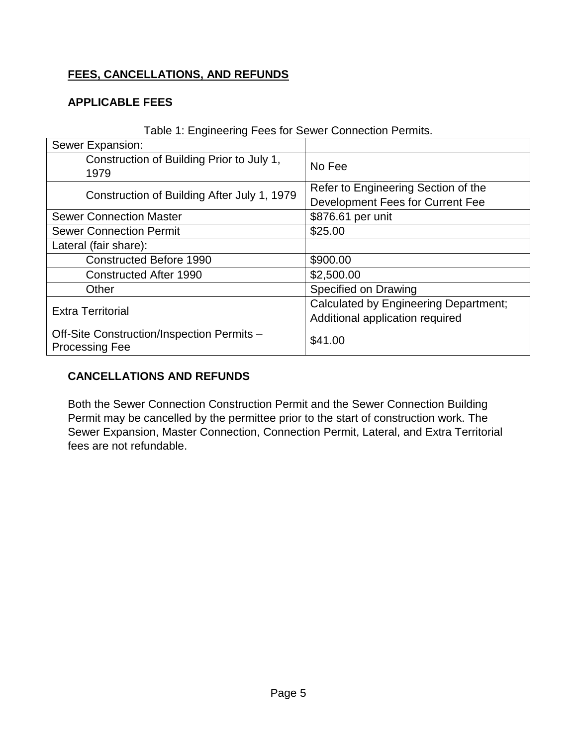#### **FEES, CANCELLATIONS, AND REFUNDS**

#### **APPLICABLE FEES**

| <b>Table 1. Engineering 1 000 for cowor component chrinte.</b>      |                                              |  |
|---------------------------------------------------------------------|----------------------------------------------|--|
| Sewer Expansion:                                                    |                                              |  |
| Construction of Building Prior to July 1,<br>1979                   | No Fee                                       |  |
| Construction of Building After July 1, 1979                         | Refer to Engineering Section of the          |  |
|                                                                     | Development Fees for Current Fee             |  |
| <b>Sewer Connection Master</b>                                      | \$876.61 per unit                            |  |
| <b>Sewer Connection Permit</b>                                      | \$25.00                                      |  |
| Lateral (fair share):                                               |                                              |  |
| <b>Constructed Before 1990</b>                                      | \$900.00                                     |  |
| <b>Constructed After 1990</b>                                       | \$2,500.00                                   |  |
| Other                                                               | Specified on Drawing                         |  |
| <b>Extra Territorial</b>                                            | <b>Calculated by Engineering Department;</b> |  |
|                                                                     | Additional application required              |  |
| Off-Site Construction/Inspection Permits -<br><b>Processing Fee</b> | \$41.00                                      |  |

Table 1: Engineering Fees for Sewer Connection Permits.

#### **CANCELLATIONS AND REFUNDS**

Both the Sewer Connection Construction Permit and the Sewer Connection Building Permit may be cancelled by the permittee prior to the start of construction work. The Sewer Expansion, Master Connection, Connection Permit, Lateral, and Extra Territorial fees are not refundable.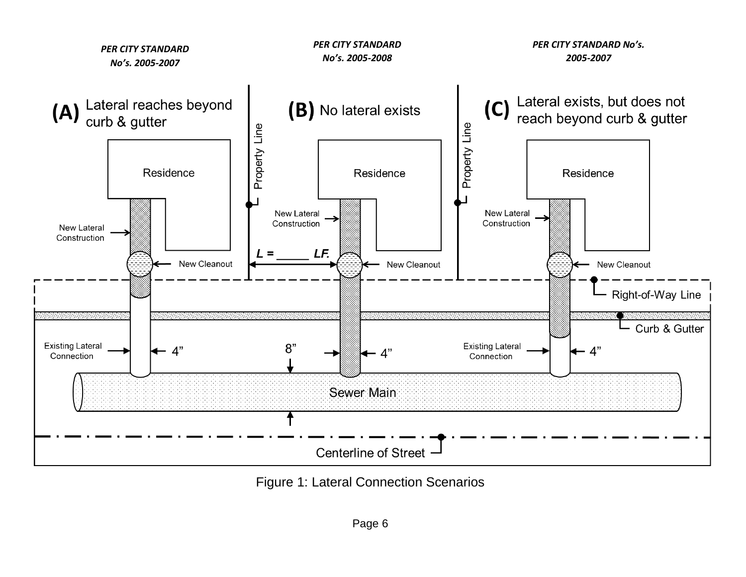

Figure 1: Lateral Connection Scenarios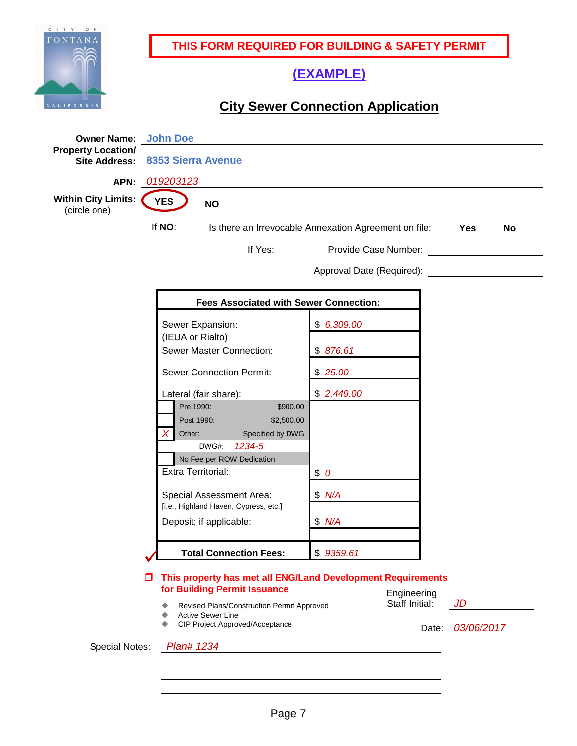

**THIS FORM REQUIRED FOR BUILDING & SAFETY PERMIT**

### **(EXAMPLE)**

## **City Sewer Connection Application**

| <b>Owner Name:</b><br><b>Property Location/</b> | <b>John Doe</b>                                                                                  |                               |                  |  |  |  |
|-------------------------------------------------|--------------------------------------------------------------------------------------------------|-------------------------------|------------------|--|--|--|
|                                                 | Site Address: 8353 Sierra Avenue                                                                 |                               |                  |  |  |  |
| APN:                                            | 019203123                                                                                        |                               |                  |  |  |  |
| <b>Within City Limits:</b><br>(circle one)      | <b>YES</b><br><b>NO</b>                                                                          |                               |                  |  |  |  |
|                                                 | If NO:<br>Is there an Irrevocable Annexation Agreement on file:<br>Yes<br><b>No</b>              |                               |                  |  |  |  |
|                                                 | If Yes:                                                                                          | Provide Case Number:          |                  |  |  |  |
|                                                 |                                                                                                  | Approval Date (Required):     |                  |  |  |  |
|                                                 | <b>Fees Associated with Sewer Connection:</b>                                                    |                               |                  |  |  |  |
|                                                 | Sewer Expansion:<br>(IEUA or Rialto)                                                             | \$6,309.00                    |                  |  |  |  |
|                                                 | Sewer Master Connection:                                                                         | \$876.61                      |                  |  |  |  |
|                                                 | <b>Sewer Connection Permit:</b>                                                                  | \$25.00                       |                  |  |  |  |
|                                                 | Lateral (fair share):<br>Pre 1990:<br>\$900.00<br>Post 1990:<br>\$2,500.00                       | \$2,449.00                    |                  |  |  |  |
|                                                 | Specified by DWG<br>Other:<br>DWG#:<br>1234-5<br>No Fee per ROW Dedication                       |                               |                  |  |  |  |
|                                                 | Extra Territorial:                                                                               | \$0                           |                  |  |  |  |
|                                                 | Special Assessment Area:<br>[i.e., Highland Haven, Cypress, etc.]                                | \$ N/A                        |                  |  |  |  |
|                                                 | Deposit; if applicable:                                                                          | \$ N/A                        |                  |  |  |  |
|                                                 | <b>Total Connection Fees:</b>                                                                    | \$9359.61                     |                  |  |  |  |
|                                                 | This property has met all ENG/Land Development Requirements<br>□<br>for Building Permit Issuance |                               |                  |  |  |  |
|                                                 | Revised Plans/Construction Permit Approved<br><b>Active Sewer Line</b>                           | Engineering<br>Staff Initial: | JD               |  |  |  |
|                                                 | CIP Project Approved/Acceptance                                                                  |                               | Date: 03/06/2017 |  |  |  |
| <b>Special Notes:</b>                           | Plan# 1234                                                                                       |                               |                  |  |  |  |
|                                                 |                                                                                                  |                               |                  |  |  |  |